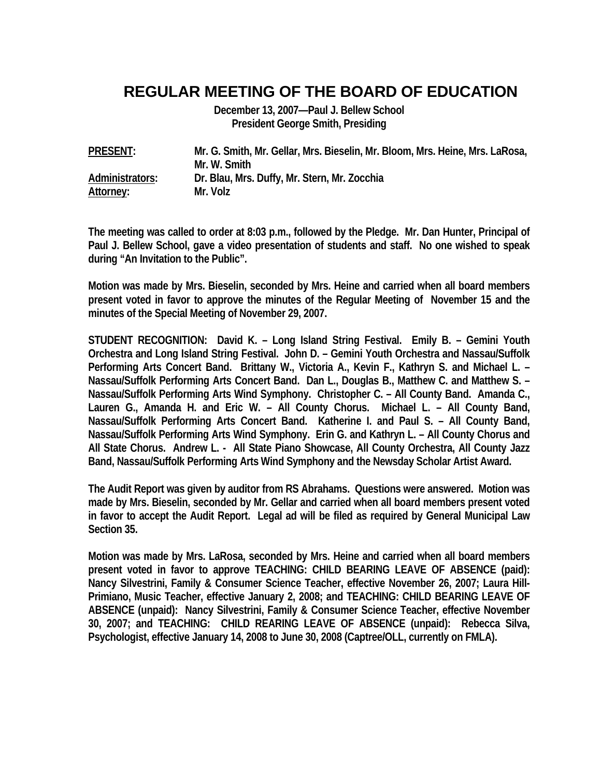## **REGULAR MEETING OF THE BOARD OF EDUCATION**

**December 13, 2007—Paul J. Bellew School President George Smith, Presiding** 

| <b>PRESENT:</b> | Mr. G. Smith, Mr. Gellar, Mrs. Bieselin, Mr. Bloom, Mrs. Heine, Mrs. LaRosa, |
|-----------------|------------------------------------------------------------------------------|
|                 | Mr. W. Smith                                                                 |
| Administrators: | Dr. Blau, Mrs. Duffy, Mr. Stern, Mr. Zocchia                                 |
| Attorney:       | Mr. Volz                                                                     |

**The meeting was called to order at 8:03 p.m., followed by the Pledge. Mr. Dan Hunter, Principal of Paul J. Bellew School, gave a video presentation of students and staff. No one wished to speak during "An Invitation to the Public".** 

**Motion was made by Mrs. Bieselin, seconded by Mrs. Heine and carried when all board members present voted in favor to approve the minutes of the Regular Meeting of November 15 and the minutes of the Special Meeting of November 29, 2007.** 

**STUDENT RECOGNITION: David K. – Long Island String Festival. Emily B. – Gemini Youth Orchestra and Long Island String Festival. John D. – Gemini Youth Orchestra and Nassau/Suffolk Performing Arts Concert Band. Brittany W., Victoria A., Kevin F., Kathryn S. and Michael L. – Nassau/Suffolk Performing Arts Concert Band. Dan L., Douglas B., Matthew C. and Matthew S. – Nassau/Suffolk Performing Arts Wind Symphony. Christopher C. – All County Band. Amanda C., Lauren G., Amanda H. and Eric W. – All County Chorus. Michael L. – All County Band, Nassau/Suffolk Performing Arts Concert Band. Katherine I. and Paul S. – All County Band, Nassau/Suffolk Performing Arts Wind Symphony. Erin G. and Kathryn L. – All County Chorus and All State Chorus. Andrew L. - All State Piano Showcase, All County Orchestra, All County Jazz Band, Nassau/Suffolk Performing Arts Wind Symphony and the Newsday Scholar Artist Award.** 

**The Audit Report was given by auditor from RS Abrahams. Questions were answered. Motion was made by Mrs. Bieselin, seconded by Mr. Gellar and carried when all board members present voted in favor to accept the Audit Report. Legal ad will be filed as required by General Municipal Law Section 35.** 

**Motion was made by Mrs. LaRosa, seconded by Mrs. Heine and carried when all board members present voted in favor to approve TEACHING: CHILD BEARING LEAVE OF ABSENCE (paid): Nancy Silvestrini, Family & Consumer Science Teacher, effective November 26, 2007; Laura Hill-Primiano, Music Teacher, effective January 2, 2008; and TEACHING: CHILD BEARING LEAVE OF ABSENCE (unpaid): Nancy Silvestrini, Family & Consumer Science Teacher, effective November 30, 2007; and TEACHING: CHILD REARING LEAVE OF ABSENCE (unpaid): Rebecca Silva, Psychologist, effective January 14, 2008 to June 30, 2008 (Captree/OLL, currently on FMLA).**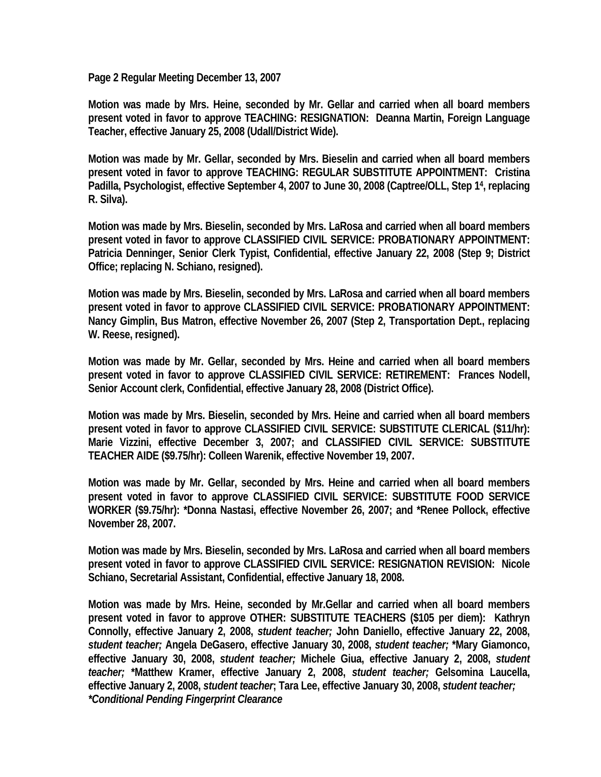**Page 2 Regular Meeting December 13, 2007** 

**Motion was made by Mrs. Heine, seconded by Mr. Gellar and carried when all board members present voted in favor to approve TEACHING: RESIGNATION: Deanna Martin, Foreign Language Teacher, effective January 25, 2008 (Udall/District Wide).** 

**Motion was made by Mr. Gellar, seconded by Mrs. Bieselin and carried when all board members present voted in favor to approve TEACHING: REGULAR SUBSTITUTE APPOINTMENT: Cristina Padilla, Psychologist, effective September 4, 2007 to June 30, 2008 (Captree/OLL, Step 14, replacing R. Silva).** 

**Motion was made by Mrs. Bieselin, seconded by Mrs. LaRosa and carried when all board members present voted in favor to approve CLASSIFIED CIVIL SERVICE: PROBATIONARY APPOINTMENT: Patricia Denninger, Senior Clerk Typist, Confidential, effective January 22, 2008 (Step 9; District Office; replacing N. Schiano, resigned).** 

**Motion was made by Mrs. Bieselin, seconded by Mrs. LaRosa and carried when all board members present voted in favor to approve CLASSIFIED CIVIL SERVICE: PROBATIONARY APPOINTMENT: Nancy Gimplin, Bus Matron, effective November 26, 2007 (Step 2, Transportation Dept., replacing W. Reese, resigned).** 

**Motion was made by Mr. Gellar, seconded by Mrs. Heine and carried when all board members present voted in favor to approve CLASSIFIED CIVIL SERVICE: RETIREMENT: Frances Nodell, Senior Account clerk, Confidential, effective January 28, 2008 (District Office).** 

**Motion was made by Mrs. Bieselin, seconded by Mrs. Heine and carried when all board members present voted in favor to approve CLASSIFIED CIVIL SERVICE: SUBSTITUTE CLERICAL (\$11/hr): Marie Vizzini, effective December 3, 2007; and CLASSIFIED CIVIL SERVICE: SUBSTITUTE TEACHER AIDE (\$9.75/hr): Colleen Warenik, effective November 19, 2007.** 

**Motion was made by Mr. Gellar, seconded by Mrs. Heine and carried when all board members present voted in favor to approve CLASSIFIED CIVIL SERVICE: SUBSTITUTE FOOD SERVICE WORKER (\$9.75/hr): \*Donna Nastasi, effective November 26, 2007; and \*Renee Pollock, effective November 28, 2007.** 

**Motion was made by Mrs. Bieselin, seconded by Mrs. LaRosa and carried when all board members present voted in favor to approve CLASSIFIED CIVIL SERVICE: RESIGNATION REVISION: Nicole Schiano, Secretarial Assistant, Confidential, effective January 18, 2008.** 

**Motion was made by Mrs. Heine, seconded by Mr.Gellar and carried when all board members present voted in favor to approve OTHER: SUBSTITUTE TEACHERS (\$105 per diem): Kathryn Connolly, effective January 2, 2008,** *student teacher;* **John Daniello, effective January 22, 2008,**  *student teacher;* **Angela DeGasero, effective January 30, 2008,** *student teacher;* **\*Mary Giamonco, effective January 30, 2008,** *student teacher;* **Michele Giua, effective January 2, 2008,** *student teacher;* **\*Matthew Kramer, effective January 2, 2008,** *student teacher;* **Gelsomina Laucella, effective January 2, 2008,** *student teacher***; Tara Lee, effective January 30, 2008,** *student teacher; \*Conditional Pending Fingerprint Clearance*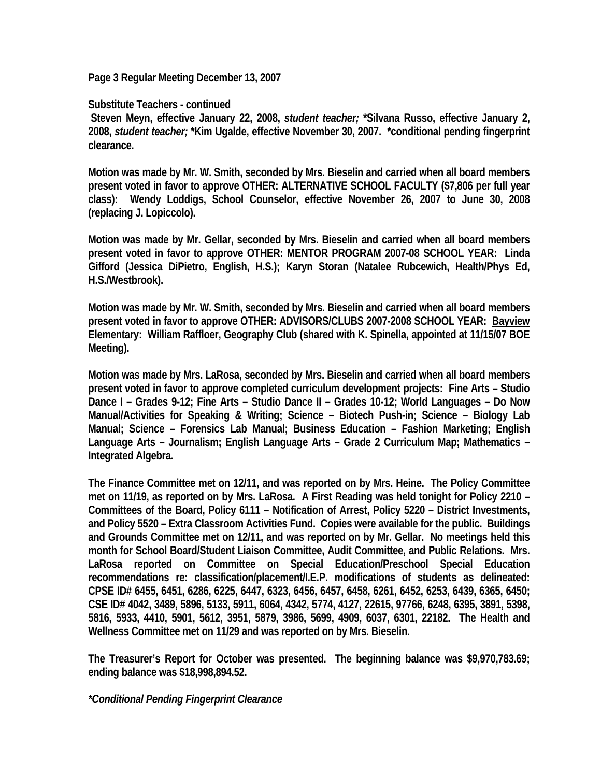**Page 3 Regular Meeting December 13, 2007** 

**Substitute Teachers - continued** 

**Steven Meyn, effective January 22, 2008,** *student teacher;* **\*Silvana Russo, effective January 2, 2008,** *student teacher;* **\*Kim Ugalde, effective November 30, 2007. \*conditional pending fingerprint clearance.** 

**Motion was made by Mr. W. Smith, seconded by Mrs. Bieselin and carried when all board members present voted in favor to approve OTHER: ALTERNATIVE SCHOOL FACULTY (\$7,806 per full year class): Wendy Loddigs, School Counselor, effective November 26, 2007 to June 30, 2008 (replacing J. Lopiccolo).** 

**Motion was made by Mr. Gellar, seconded by Mrs. Bieselin and carried when all board members present voted in favor to approve OTHER: MENTOR PROGRAM 2007-08 SCHOOL YEAR: Linda Gifford (Jessica DiPietro, English, H.S.); Karyn Storan (Natalee Rubcewich, Health/Phys Ed, H.S./Westbrook).** 

**Motion was made by Mr. W. Smith, seconded by Mrs. Bieselin and carried when all board members present voted in favor to approve OTHER: ADVISORS/CLUBS 2007-2008 SCHOOL YEAR: Bayview Elementary: William Raffloer, Geography Club (shared with K. Spinella, appointed at 11/15/07 BOE Meeting).** 

**Motion was made by Mrs. LaRosa, seconded by Mrs. Bieselin and carried when all board members present voted in favor to approve completed curriculum development projects: Fine Arts – Studio Dance I – Grades 9-12; Fine Arts – Studio Dance II – Grades 10-12; World Languages – Do Now Manual/Activities for Speaking & Writing; Science – Biotech Push-in; Science – Biology Lab Manual; Science – Forensics Lab Manual; Business Education – Fashion Marketing; English Language Arts – Journalism; English Language Arts – Grade 2 Curriculum Map; Mathematics – Integrated Algebra.** 

**The Finance Committee met on 12/11, and was reported on by Mrs. Heine. The Policy Committee met on 11/19, as reported on by Mrs. LaRosa. A First Reading was held tonight for Policy 2210 – Committees of the Board, Policy 6111 – Notification of Arrest, Policy 5220 – District Investments, and Policy 5520 – Extra Classroom Activities Fund. Copies were available for the public. Buildings and Grounds Committee met on 12/11, and was reported on by Mr. Gellar. No meetings held this month for School Board/Student Liaison Committee, Audit Committee, and Public Relations. Mrs. LaRosa reported on Committee on Special Education/Preschool Special Education recommendations re: classification/placement/I.E.P. modifications of students as delineated: CPSE ID# 6455, 6451, 6286, 6225, 6447, 6323, 6456, 6457, 6458, 6261, 6452, 6253, 6439, 6365, 6450; CSE ID# 4042, 3489, 5896, 5133, 5911, 6064, 4342, 5774, 4127, 22615, 97766, 6248, 6395, 3891, 5398, 5816, 5933, 4410, 5901, 5612, 3951, 5879, 3986, 5699, 4909, 6037, 6301, 22182. The Health and Wellness Committee met on 11/29 and was reported on by Mrs. Bieselin.** 

**The Treasurer's Report for October was presented. The beginning balance was \$9,970,783.69; ending balance was \$18,998,894.52.** 

*\*Conditional Pending Fingerprint Clearance*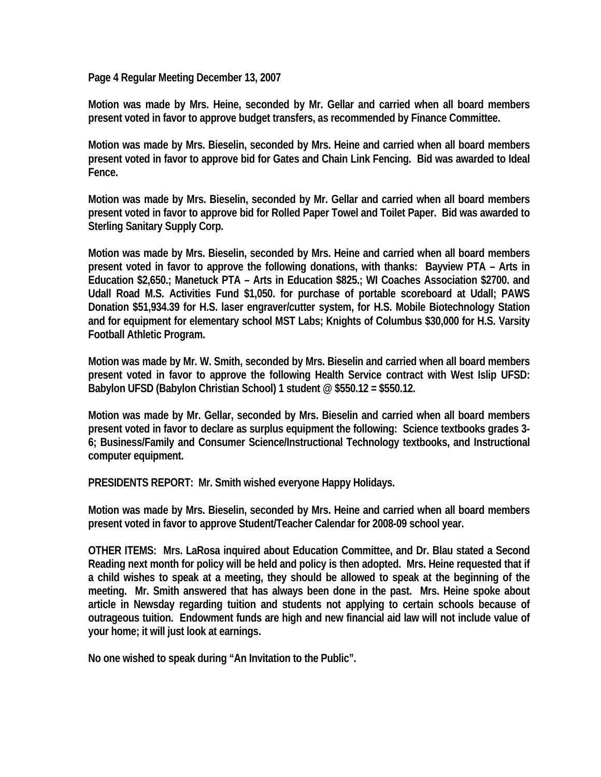**Page 4 Regular Meeting December 13, 2007** 

**Motion was made by Mrs. Heine, seconded by Mr. Gellar and carried when all board members present voted in favor to approve budget transfers, as recommended by Finance Committee.** 

**Motion was made by Mrs. Bieselin, seconded by Mrs. Heine and carried when all board members present voted in favor to approve bid for Gates and Chain Link Fencing. Bid was awarded to Ideal Fence.** 

**Motion was made by Mrs. Bieselin, seconded by Mr. Gellar and carried when all board members present voted in favor to approve bid for Rolled Paper Towel and Toilet Paper. Bid was awarded to Sterling Sanitary Supply Corp.** 

**Motion was made by Mrs. Bieselin, seconded by Mrs. Heine and carried when all board members present voted in favor to approve the following donations, with thanks: Bayview PTA – Arts in Education \$2,650.; Manetuck PTA – Arts in Education \$825.; WI Coaches Association \$2700. and Udall Road M.S. Activities Fund \$1,050. for purchase of portable scoreboard at Udall; PAWS Donation \$51,934.39 for H.S. laser engraver/cutter system, for H.S. Mobile Biotechnology Station and for equipment for elementary school MST Labs; Knights of Columbus \$30,000 for H.S. Varsity Football Athletic Program.** 

**Motion was made by Mr. W. Smith, seconded by Mrs. Bieselin and carried when all board members present voted in favor to approve the following Health Service contract with West Islip UFSD: Babylon UFSD (Babylon Christian School) 1 student @ \$550.12 = \$550.12.** 

**Motion was made by Mr. Gellar, seconded by Mrs. Bieselin and carried when all board members present voted in favor to declare as surplus equipment the following: Science textbooks grades 3- 6; Business/Family and Consumer Science/Instructional Technology textbooks, and Instructional computer equipment.** 

**PRESIDENTS REPORT: Mr. Smith wished everyone Happy Holidays.** 

**Motion was made by Mrs. Bieselin, seconded by Mrs. Heine and carried when all board members present voted in favor to approve Student/Teacher Calendar for 2008-09 school year.** 

**OTHER ITEMS: Mrs. LaRosa inquired about Education Committee, and Dr. Blau stated a Second Reading next month for policy will be held and policy is then adopted. Mrs. Heine requested that if a child wishes to speak at a meeting, they should be allowed to speak at the beginning of the meeting. Mr. Smith answered that has always been done in the past. Mrs. Heine spoke about article in Newsday regarding tuition and students not applying to certain schools because of outrageous tuition. Endowment funds are high and new financial aid law will not include value of your home; it will just look at earnings.** 

**No one wished to speak during "An Invitation to the Public".**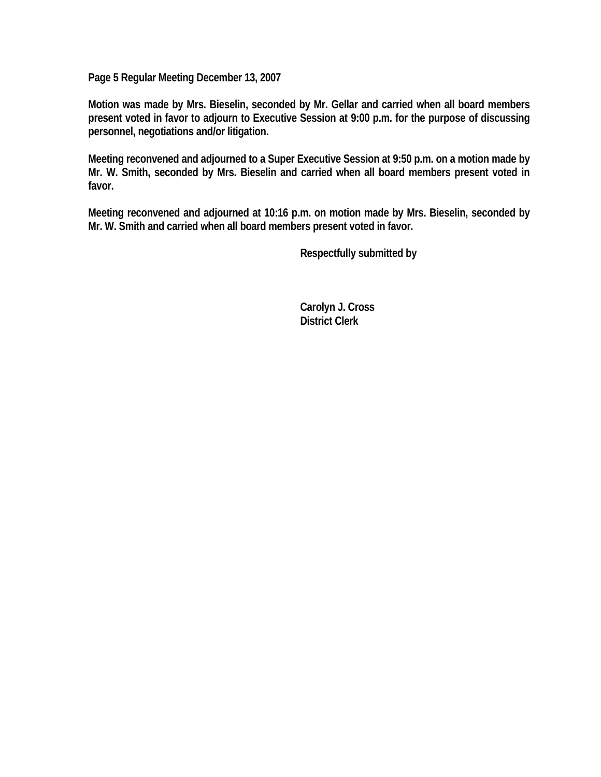**Page 5 Regular Meeting December 13, 2007** 

**Motion was made by Mrs. Bieselin, seconded by Mr. Gellar and carried when all board members present voted in favor to adjourn to Executive Session at 9:00 p.m. for the purpose of discussing personnel, negotiations and/or litigation.** 

**Meeting reconvened and adjourned to a Super Executive Session at 9:50 p.m. on a motion made by Mr. W. Smith, seconded by Mrs. Bieselin and carried when all board members present voted in favor.** 

**Meeting reconvened and adjourned at 10:16 p.m. on motion made by Mrs. Bieselin, seconded by Mr. W. Smith and carried when all board members present voted in favor.** 

 **Respectfully submitted by** 

 **Carolyn J. Cross District Clerk**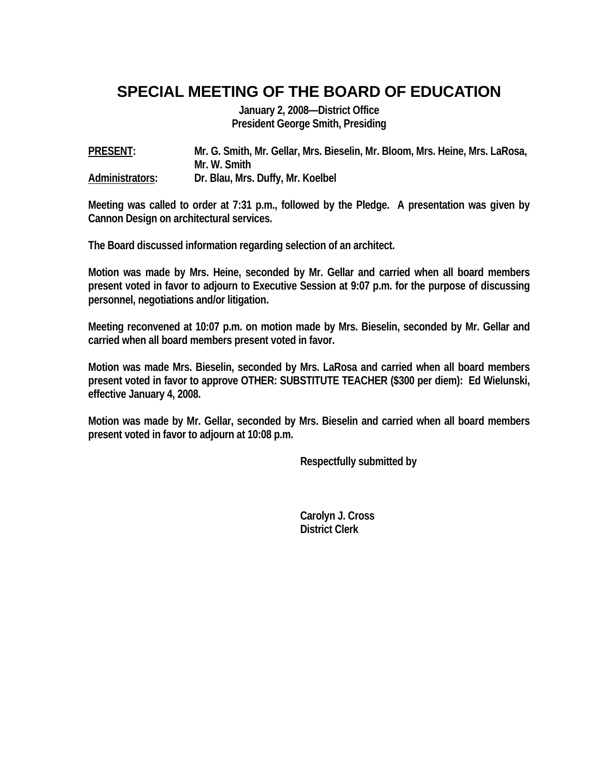## **SPECIAL MEETING OF THE BOARD OF EDUCATION**

**January 2, 2008—District Office President George Smith, Presiding** 

**PRESENT: Mr. G. Smith, Mr. Gellar, Mrs. Bieselin, Mr. Bloom, Mrs. Heine, Mrs. LaRosa, Mr. W. Smith Administrators: Dr. Blau, Mrs. Duffy, Mr. Koelbel** 

**Meeting was called to order at 7:31 p.m., followed by the Pledge. A presentation was given by Cannon Design on architectural services.** 

**The Board discussed information regarding selection of an architect.** 

**Motion was made by Mrs. Heine, seconded by Mr. Gellar and carried when all board members present voted in favor to adjourn to Executive Session at 9:07 p.m. for the purpose of discussing personnel, negotiations and/or litigation.** 

**Meeting reconvened at 10:07 p.m. on motion made by Mrs. Bieselin, seconded by Mr. Gellar and carried when all board members present voted in favor.** 

**Motion was made Mrs. Bieselin, seconded by Mrs. LaRosa and carried when all board members present voted in favor to approve OTHER: SUBSTITUTE TEACHER (\$300 per diem): Ed Wielunski, effective January 4, 2008.** 

**Motion was made by Mr. Gellar, seconded by Mrs. Bieselin and carried when all board members present voted in favor to adjourn at 10:08 p.m.** 

 **Respectfully submitted by** 

 **Carolyn J. Cross District Clerk**